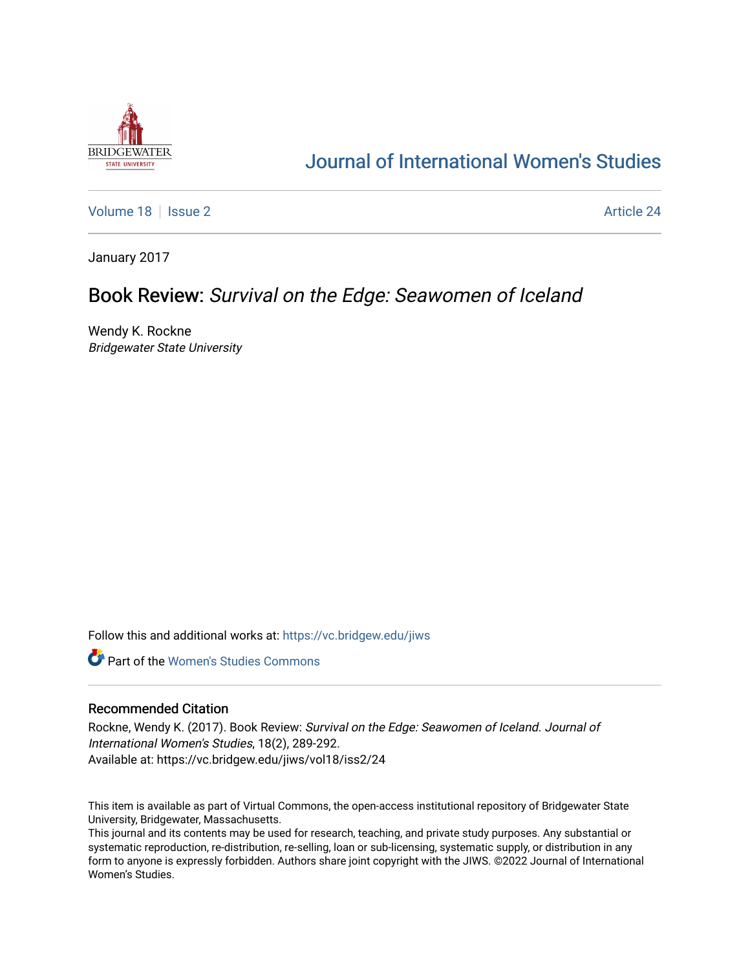

# [Journal of International Women's Studies](https://vc.bridgew.edu/jiws)

[Volume 18](https://vc.bridgew.edu/jiws/vol18) | [Issue 2](https://vc.bridgew.edu/jiws/vol18/iss2) Article 24

January 2017

## Book Review: Survival on the Edge: Seawomen of Iceland

Wendy K. Rockne Bridgewater State University

Follow this and additional works at: [https://vc.bridgew.edu/jiws](https://vc.bridgew.edu/jiws?utm_source=vc.bridgew.edu%2Fjiws%2Fvol18%2Fiss2%2F24&utm_medium=PDF&utm_campaign=PDFCoverPages)

**C** Part of the Women's Studies Commons

#### Recommended Citation

Rockne, Wendy K. (2017). Book Review: Survival on the Edge: Seawomen of Iceland. Journal of International Women's Studies, 18(2), 289-292. Available at: https://vc.bridgew.edu/jiws/vol18/iss2/24

This item is available as part of Virtual Commons, the open-access institutional repository of Bridgewater State University, Bridgewater, Massachusetts.

This journal and its contents may be used for research, teaching, and private study purposes. Any substantial or systematic reproduction, re-distribution, re-selling, loan or sub-licensing, systematic supply, or distribution in any form to anyone is expressly forbidden. Authors share joint copyright with the JIWS. ©2022 Journal of International Women's Studies.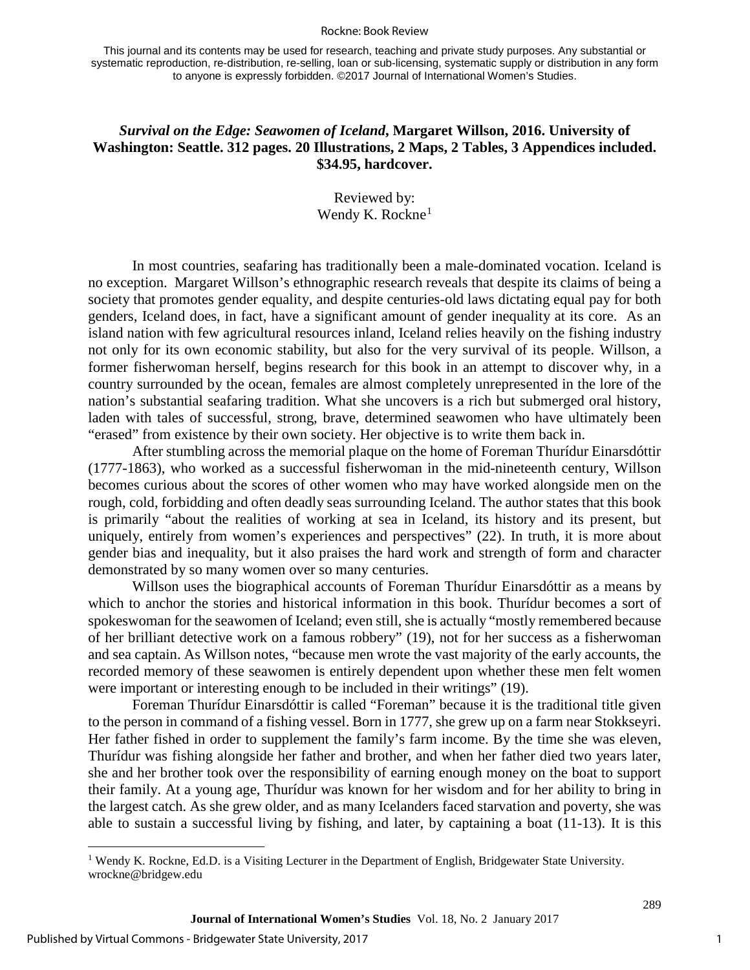#### Rockne: Book Review

This journal and its contents may be used for research, teaching and private study purposes. Any substantial or systematic reproduction, re-distribution, re-selling, loan or sub-licensing, systematic supply or distribution in any form to anyone is expressly forbidden. ©2017 Journal of International Women's Studies.

### *Survival on the Edge: Seawomen of Iceland***, Margaret Willson, 2016. University of Washington: Seattle. 312 pages. 20 Illustrations, 2 Maps, 2 Tables, 3 Appendices included. \$34.95, hardcover.**

Reviewed by: Wendy K. Rockne $<sup>1</sup>$  $<sup>1</sup>$  $<sup>1</sup>$ </sup>

In most countries, seafaring has traditionally been a male-dominated vocation. Iceland is no exception. Margaret Willson's ethnographic research reveals that despite its claims of being a society that promotes gender equality, and despite centuries-old laws dictating equal pay for both genders, Iceland does, in fact, have a significant amount of gender inequality at its core. As an island nation with few agricultural resources inland, Iceland relies heavily on the fishing industry not only for its own economic stability, but also for the very survival of its people. Willson, a former fisherwoman herself, begins research for this book in an attempt to discover why, in a country surrounded by the ocean, females are almost completely unrepresented in the lore of the nation's substantial seafaring tradition. What she uncovers is a rich but submerged oral history, laden with tales of successful, strong, brave, determined seawomen who have ultimately been "erased" from existence by their own society. Her objective is to write them back in.

After stumbling across the memorial plaque on the home of Foreman Thurídur Einarsdóttir (1777-1863), who worked as a successful fisherwoman in the mid-nineteenth century, Willson becomes curious about the scores of other women who may have worked alongside men on the rough, cold, forbidding and often deadly seas surrounding Iceland. The author states that this book is primarily "about the realities of working at sea in Iceland, its history and its present, but uniquely, entirely from women's experiences and perspectives" (22). In truth, it is more about gender bias and inequality, but it also praises the hard work and strength of form and character demonstrated by so many women over so many centuries.

Willson uses the biographical accounts of Foreman Thurídur Einarsdóttir as a means by which to anchor the stories and historical information in this book. Thurídur becomes a sort of spokeswoman for the seawomen of Iceland; even still, she is actually "mostly remembered because of her brilliant detective work on a famous robbery" (19), not for her success as a fisherwoman and sea captain. As Willson notes, "because men wrote the vast majority of the early accounts, the recorded memory of these seawomen is entirely dependent upon whether these men felt women were important or interesting enough to be included in their writings" (19).

Foreman Thurídur Einarsdóttir is called "Foreman" because it is the traditional title given to the person in command of a fishing vessel. Born in 1777, she grew up on a farm near Stokkseyri. Her father fished in order to supplement the family's farm income. By the time she was eleven, Thurídur was fishing alongside her father and brother, and when her father died two years later, she and her brother took over the responsibility of earning enough money on the boat to support their family. At a young age, Thurídur was known for her wisdom and for her ability to bring in the largest catch. As she grew older, and as many Icelanders faced starvation and poverty, she was able to sustain a successful living by fishing, and later, by captaining a boat (11-13). It is this

l

1

289

<span id="page-1-0"></span><sup>1</sup> Wendy K. Rockne, Ed.D. is a Visiting Lecturer in the Department of English, Bridgewater State University. wrockne@bridgew.edu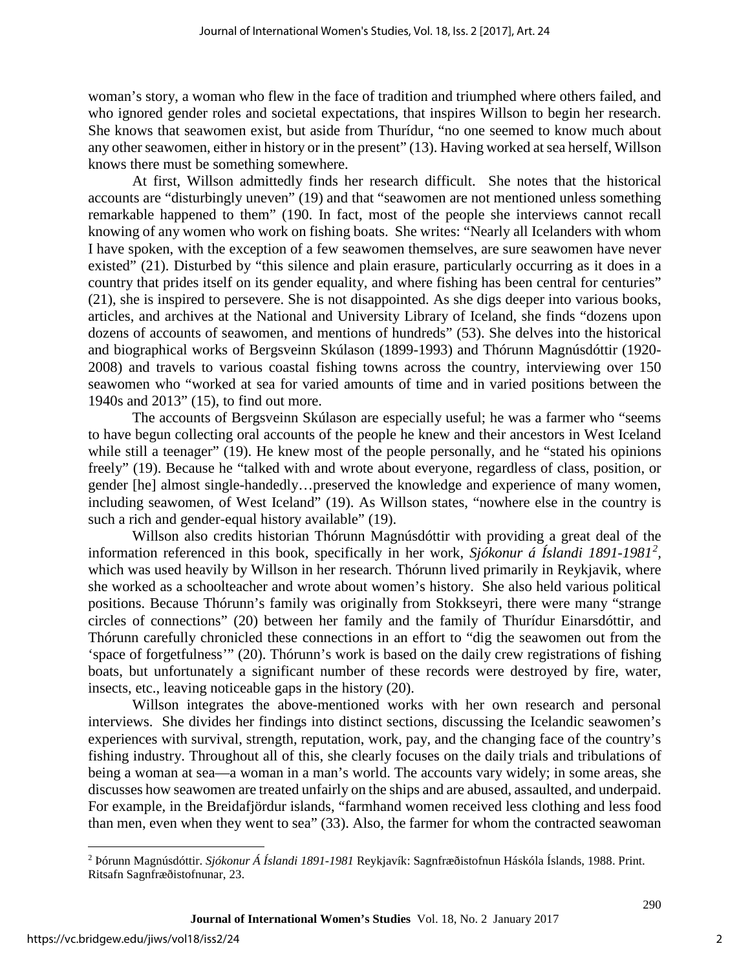woman's story, a woman who flew in the face of tradition and triumphed where others failed, and who ignored gender roles and societal expectations, that inspires Willson to begin her research. She knows that seawomen exist, but aside from Thurídur, "no one seemed to know much about any other seawomen, either in history or in the present" (13). Having worked at sea herself, Willson knows there must be something somewhere.

At first, Willson admittedly finds her research difficult. She notes that the historical accounts are "disturbingly uneven" (19) and that "seawomen are not mentioned unless something remarkable happened to them" (190. In fact, most of the people she interviews cannot recall knowing of any women who work on fishing boats. She writes: "Nearly all Icelanders with whom I have spoken, with the exception of a few seawomen themselves, are sure seawomen have never existed" (21). Disturbed by "this silence and plain erasure, particularly occurring as it does in a country that prides itself on its gender equality, and where fishing has been central for centuries" (21), she is inspired to persevere. She is not disappointed. As she digs deeper into various books, articles, and archives at the National and University Library of Iceland, she finds "dozens upon dozens of accounts of seawomen, and mentions of hundreds" (53). She delves into the historical and biographical works of Bergsveinn Skúlason (1899-1993) and Thórunn Magnúsdóttir (1920- 2008) and travels to various coastal fishing towns across the country, interviewing over 150 seawomen who "worked at sea for varied amounts of time and in varied positions between the 1940s and 2013" (15), to find out more.

The accounts of Bergsveinn Skúlason are especially useful; he was a farmer who "seems to have begun collecting oral accounts of the people he knew and their ancestors in West Iceland while still a teenager" (19). He knew most of the people personally, and he "stated his opinions" freely" (19). Because he "talked with and wrote about everyone, regardless of class, position, or gender [he] almost single-handedly…preserved the knowledge and experience of many women, including seawomen, of West Iceland" (19). As Willson states, "nowhere else in the country is such a rich and gender-equal history available" (19).

Willson also credits historian Thórunn Magnúsdóttir with providing a great deal of the information referenced in this book, specifically in her work, *Sjókonur á Íslandi 1891-1981[2](#page-2-0) ,*  which was used heavily by Willson in her research. Thórunn lived primarily in Reykjavik, where she worked as a schoolteacher and wrote about women's history. She also held various political positions. Because Thórunn's family was originally from Stokkseyri, there were many "strange circles of connections" (20) between her family and the family of Thurídur Einarsdóttir, and Thórunn carefully chronicled these connections in an effort to "dig the seawomen out from the 'space of forgetfulness'" (20). Thórunn's work is based on the daily crew registrations of fishing boats, but unfortunately a significant number of these records were destroyed by fire, water, insects, etc., leaving noticeable gaps in the history (20).

Willson integrates the above-mentioned works with her own research and personal interviews. She divides her findings into distinct sections, discussing the Icelandic seawomen's experiences with survival, strength, reputation, work, pay, and the changing face of the country's fishing industry. Throughout all of this, she clearly focuses on the daily trials and tribulations of being a woman at sea—a woman in a man's world. The accounts vary widely; in some areas, she discusses how seawomen are treated unfairly on the ships and are abused, assaulted, and underpaid. For example, in the Breidafjördur islands, "farmhand women received less clothing and less food than men, even when they went to sea" (33). Also, the farmer for whom the contracted seawoman

<span id="page-2-0"></span>l <sup>2</sup> Þórunn Magnúsdóttir. *Sjókonur Á Íslandi 1891-1981* Reykjavík: Sagnfræðistofnun Háskóla Íslands, 1988. Print. Ritsafn Sagnfræðistofnunar, 23.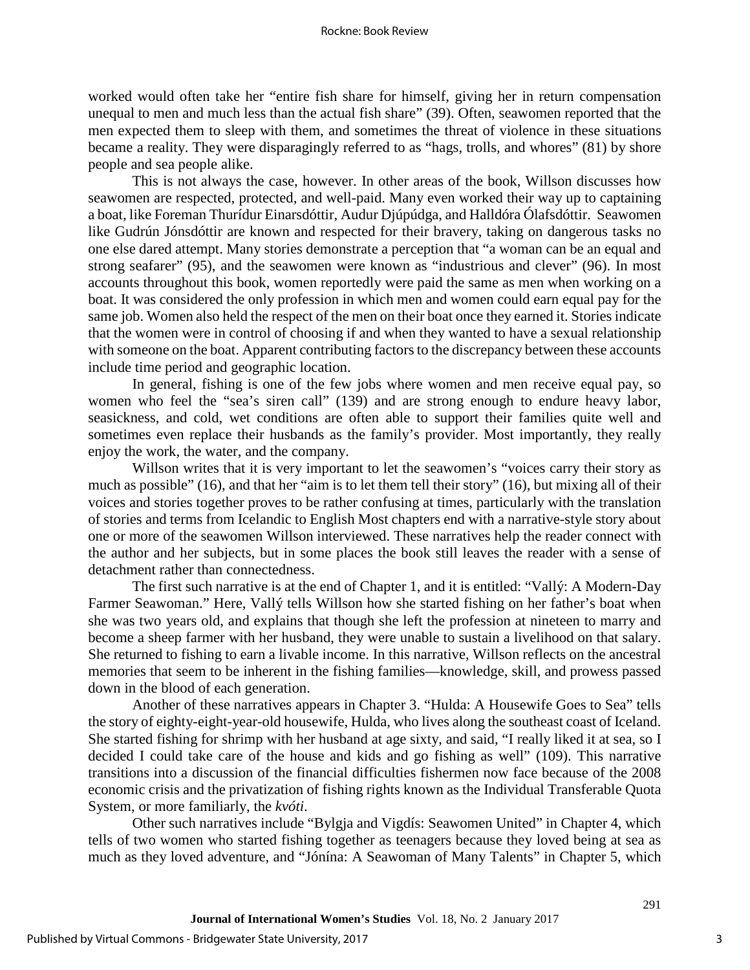worked would often take her "entire fish share for himself, giving her in return compensation unequal to men and much less than the actual fish share" (39). Often, seawomen reported that the men expected them to sleep with them, and sometimes the threat of violence in these situations became a reality. They were disparagingly referred to as "hags, trolls, and whores" (81) by shore people and sea people alike.

This is not always the case, however. In other areas of the book, Willson discusses how seawomen are respected, protected, and well-paid. Many even worked their way up to captaining a boat, like Foreman Thurídur Einarsdóttir, Audur Djúpúdga, and Halldóra Ólafsdóttir. Seawomen like Gudrún Jónsdóttir are known and respected for their bravery, taking on dangerous tasks no one else dared attempt. Many stories demonstrate a perception that "a woman can be an equal and strong seafarer" (95), and the seawomen were known as "industrious and clever" (96). In most accounts throughout this book, women reportedly were paid the same as men when working on a boat. It was considered the only profession in which men and women could earn equal pay for the same job. Women also held the respect of the men on their boat once they earned it. Stories indicate that the women were in control of choosing if and when they wanted to have a sexual relationship with someone on the boat. Apparent contributing factors to the discrepancy between these accounts include time period and geographic location.

In general, fishing is one of the few jobs where women and men receive equal pay, so women who feel the "sea's siren call" (139) and are strong enough to endure heavy labor, seasickness, and cold, wet conditions are often able to support their families quite well and sometimes even replace their husbands as the family's provider. Most importantly, they really enjoy the work, the water, and the company.

Willson writes that it is very important to let the seawomen's "voices carry their story as much as possible" (16), and that her "aim is to let them tell their story" (16), but mixing all of their voices and stories together proves to be rather confusing at times, particularly with the translation of stories and terms from Icelandic to English Most chapters end with a narrative-style story about one or more of the seawomen Willson interviewed. These narratives help the reader connect with the author and her subjects, but in some places the book still leaves the reader with a sense of detachment rather than connectedness.

The first such narrative is at the end of Chapter 1, and it is entitled: "Vallý: A Modern-Day Farmer Seawoman." Here, Vallý tells Willson how she started fishing on her father's boat when she was two years old, and explains that though she left the profession at nineteen to marry and become a sheep farmer with her husband, they were unable to sustain a livelihood on that salary. She returned to fishing to earn a livable income. In this narrative, Willson reflects on the ancestral memories that seem to be inherent in the fishing families—knowledge, skill, and prowess passed down in the blood of each generation.

Another of these narratives appears in Chapter 3. "Hulda: A Housewife Goes to Sea" tells the story of eighty-eight-year-old housewife, Hulda, who lives along the southeast coast of Iceland. She started fishing for shrimp with her husband at age sixty, and said, "I really liked it at sea, so I decided I could take care of the house and kids and go fishing as well" (109). This narrative transitions into a discussion of the financial difficulties fishermen now face because of the 2008 economic crisis and the privatization of fishing rights known as the Individual Transferable Quota System, or more familiarly, the *kvóti*.

Other such narratives include "Bylgja and Vigdís: Seawomen United" in Chapter 4, which tells of two women who started fishing together as teenagers because they loved being at sea as much as they loved adventure, and "Jónína: A Seawoman of Many Talents" in Chapter 5, which

291